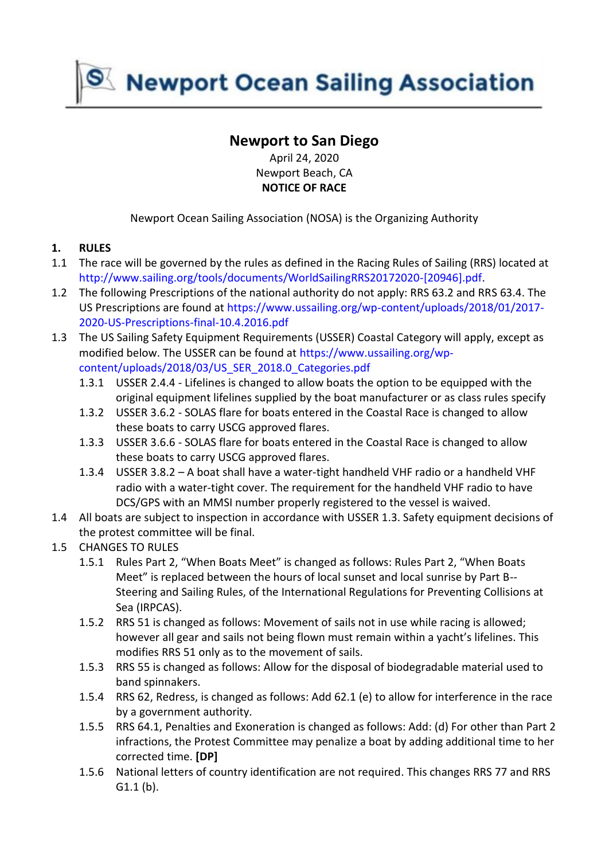**Newport Ocean Sailing Association** 

# **Newport to San Diego**

April 24, 2020 Newport Beach, CA **NOTICE OF RACE**

Newport Ocean Sailing Association (NOSA) is the Organizing Authority

## **1. RULES**

- 1.1 The race will be governed by the rules as defined in the Racing Rules of Sailing (RRS) located at [http://www.sailing.org/tools/documents/WorldSailingRRS20172020-\[20946\].pdf.](http://www.sailing.org/tools/documents/WorldSailingRRS20172020-%5b20946%5d.pdf)
- 1.2 The following Prescriptions of the national authority do not apply: RRS 63.2 and RRS 63.4. The US Prescriptions are found at [https://www.ussailing.org/wp-content/uploads/2018/01/2017-](https://www.ussailing.org/wp-content/uploads/2018/01/2017-2020-US-Prescriptions-final-10.4.2016.pdf) [2020-US-Prescriptions-final-10.4.2016.pdf](https://www.ussailing.org/wp-content/uploads/2018/01/2017-2020-US-Prescriptions-final-10.4.2016.pdf)
- 1.3 The US Sailing Safety Equipment Requirements (USSER) Coastal Category will apply, except as modified below. The USSER can be found at [https://www.ussailing.org/wp](https://www.ussailing.org/wp-content/uploads/2018/03/US_SER_2018.0_Categories.pdf)[content/uploads/2018/03/US\\_SER\\_2018.0\\_Categories.pdf](https://www.ussailing.org/wp-content/uploads/2018/03/US_SER_2018.0_Categories.pdf)
	- 1.3.1 USSER 2.4.4 Lifelines is changed to allow boats the option to be equipped with the original equipment lifelines supplied by the boat manufacturer or as class rules specify
	- 1.3.2 USSER 3.6.2 SOLAS flare for boats entered in the Coastal Race is changed to allow these boats to carry USCG approved flares.
	- 1.3.3 USSER 3.6.6 SOLAS flare for boats entered in the Coastal Race is changed to allow these boats to carry USCG approved flares.
	- 1.3.4 USSER 3.8.2 A boat shall have a water-tight handheld VHF radio or a handheld VHF radio with a water-tight cover. The requirement for the handheld VHF radio to have DCS/GPS with an MMSI number properly registered to the vessel is waived.
- 1.4 All boats are subject to inspection in accordance with USSER 1.3. Safety equipment decisions of the protest committee will be final.
- 1.5 CHANGES TO RULES
	- 1.5.1 Rules Part 2, "When Boats Meet" is changed as follows: Rules Part 2, "When Boats Meet" is replaced between the hours of local sunset and local sunrise by Part B-- Steering and Sailing Rules, of the International Regulations for Preventing Collisions at Sea (IRPCAS).
	- 1.5.2 RRS 51 is changed as follows: Movement of sails not in use while racing is allowed; however all gear and sails not being flown must remain within a yacht's lifelines. This modifies RRS 51 only as to the movement of sails.
	- 1.5.3 RRS 55 is changed as follows: Allow for the disposal of biodegradable material used to band spinnakers.
	- 1.5.4 RRS 62, Redress, is changed as follows: Add 62.1 (e) to allow for interference in the race by a government authority.
	- 1.5.5 RRS 64.1, Penalties and Exoneration is changed as follows: Add: (d) For other than Part 2 infractions, the Protest Committee may penalize a boat by adding additional time to her corrected time. **[DP]**
	- 1.5.6 National letters of country identification are not required. This changes RRS 77 and RRS G1.1 (b).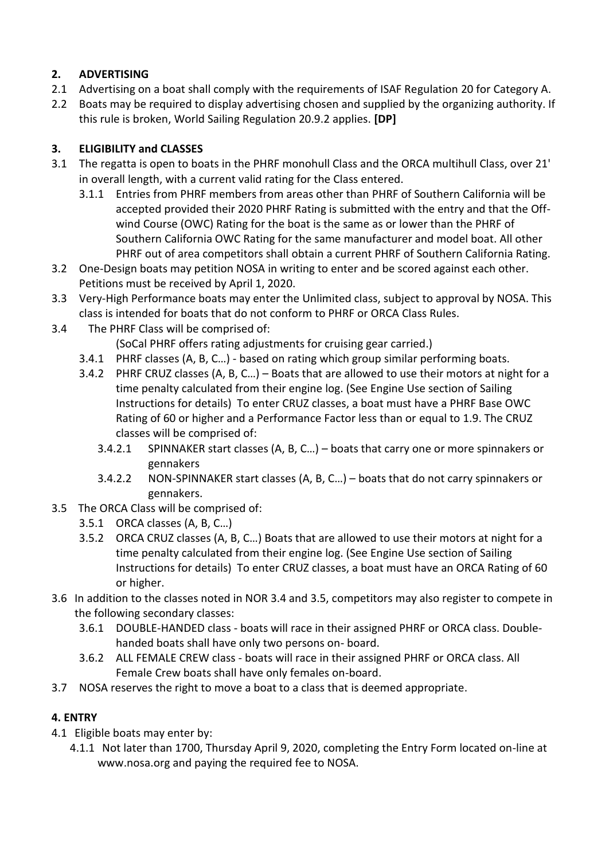# **2. ADVERTISING**

- 2.1 Advertising on a boat shall comply with the requirements of ISAF Regulation 20 for Category A.
- 2.2 Boats may be required to display advertising chosen and supplied by the organizing authority. If this rule is broken, World Sailing Regulation 20.9.2 applies. **[DP]**

# **3. ELIGIBILITY and CLASSES**

- 3.1 The regatta is open to boats in the PHRF monohull Class and the ORCA multihull Class, over 21' in overall length, with a current valid rating for the Class entered.
	- 3.1.1 Entries from PHRF members from areas other than PHRF of Southern California will be accepted provided their 2020 PHRF Rating is submitted with the entry and that the Offwind Course (OWC) Rating for the boat is the same as or lower than the PHRF of Southern California OWC Rating for the same manufacturer and model boat. All other PHRF out of area competitors shall obtain a current PHRF of Southern California Rating.
- 3.2 One-Design boats may petition NOSA in writing to enter and be scored against each other. Petitions must be received by April 1, 2020.
- 3.3 Very-High Performance boats may enter the Unlimited class, subject to approval by NOSA. This class is intended for boats that do not conform to PHRF or ORCA Class Rules.
- 3.4 The PHRF Class will be comprised of:

(SoCal PHRF offers rating adjustments for cruising gear carried.)

- 3.4.1 PHRF classes (A, B, C…) based on rating which group similar performing boats.
- 3.4.2 PHRF CRUZ classes (A, B, C…) Boats that are allowed to use their motors at night for a time penalty calculated from their engine log. (See Engine Use section of Sailing Instructions for details) To enter CRUZ classes, a boat must have a PHRF Base OWC Rating of 60 or higher and a Performance Factor less than or equal to 1.9. The CRUZ classes will be comprised of:
	- 3.4.2.1 SPINNAKER start classes (A, B, C…) boats that carry one or more spinnakers or gennakers
	- 3.4.2.2 NON-SPINNAKER start classes (A, B, C…) boats that do not carry spinnakers or gennakers.
- 3.5 The ORCA Class will be comprised of:
	- 3.5.1 ORCA classes (A, B, C…)
	- 3.5.2 ORCA CRUZ classes (A, B, C…) Boats that are allowed to use their motors at night for a time penalty calculated from their engine log. (See Engine Use section of Sailing Instructions for details) To enter CRUZ classes, a boat must have an ORCA Rating of 60 or higher.
- 3.6 In addition to the classes noted in NOR 3.4 and 3.5, competitors may also register to compete in the following secondary classes:
	- 3.6.1 DOUBLE-HANDED class boats will race in their assigned PHRF or ORCA class. Doublehanded boats shall have only two persons on- board.
	- 3.6.2 ALL FEMALE CREW class boats will race in their assigned PHRF or ORCA class. All Female Crew boats shall have only females on-board.
- 3.7 NOSA reserves the right to move a boat to a class that is deemed appropriate.

# **4. ENTRY**

- 4.1 Eligible boats may enter by:
	- 4.1.1 Not later than 1700, Thursday April 9, 2020, completing the Entry Form located on-line at www.nosa.org and paying the required fee to NOSA.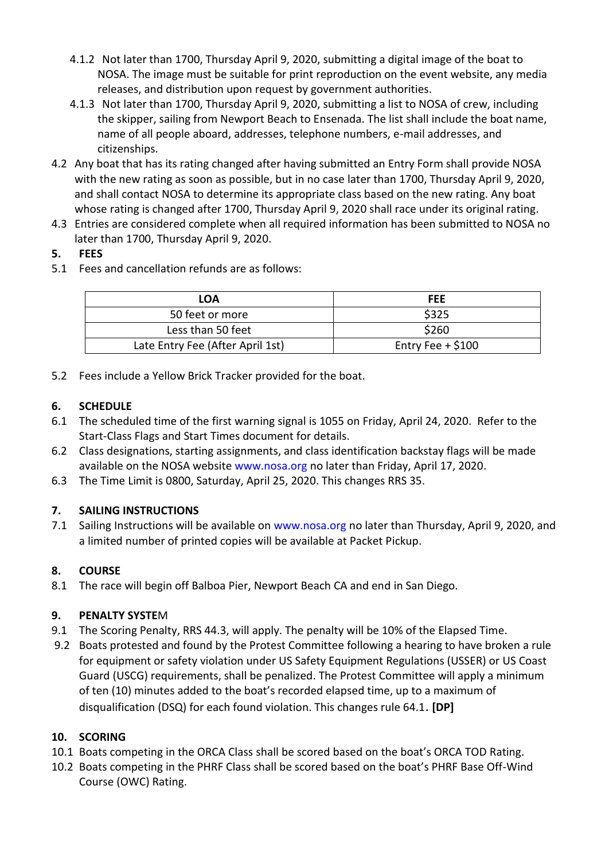- 4.1.2 Not later than 1700, Thursday April 9, 2020, submitting a digital image of the boat to NOSA. The image must be suitable for print reproduction on the event website, any media releases, and distribution upon request by government authorities.
- 4.1.3 Not later than 1700, Thursday April 9, 2020, submitting a list to NOSA of crew, including the skipper, sailing from Newport Beach to Ensenada. The list shall include the boat name, name of all people aboard, addresses, telephone numbers, e-mail addresses, and citizenships.
- 4.2 Any boat that has its rating changed after having submitted an Entry Form shall provide NOSA with the new rating as soon as possible, but in no case later than 1700, Thursday April 9, 2020, and shall contact NOSA to determine its appropriate class based on the new rating. Any boat whose rating is changed after 1700, Thursday April 9, 2020 shall race under its original rating.
- 4.3 Entries are considered complete when all required information has been submitted to NOSA no later than 1700, Thursday April 9, 2020.

## **5. FEES**

5.1 Fees and cancellation refunds are as follows:

| LOA                              | <b>FEE</b>          |  |
|----------------------------------|---------------------|--|
| 50 feet or more                  | \$325               |  |
| Less than 50 feet                | \$260               |  |
| Late Entry Fee (After April 1st) | Entry Fee $+$ \$100 |  |

5.2 Fees include a Yellow Brick Tracker provided for the boat.

## **6. SCHEDULE**

- 6.1 The scheduled time of the first warning signal is 1055 on Friday, April 24, 2020. Refer to the Start-Class Flags and Start Times document for details.
- 6.2 Class designations, starting assignments, and class identification backstay flags will be made available on the NOSA website [www.nosa.org](http://www.nosa.org/) no later than Friday, April 17, 2020.
- 6.3 The Time Limit is 0800, Saturday, April 25, 2020. This changes RRS 35.

# **7. SAILING INSTRUCTIONS**

7.1 Sailing Instructions will be available on [www.nosa.org](file:///C:/Users/BillG/Dropbox/NOSA/VC%20Race/NORs%20&%20SIs/www.nosa.org) no later than Thursday, April 9, 2020, and a limited number of printed copies will be available at Packet Pickup.

# **8. COURSE**

8.1 The race will begin off Balboa Pier, Newport Beach CA and end in San Diego.

## **9. PENALTY SYSTE**M

- 9.1 The Scoring Penalty, RRS 44.3, will apply. The penalty will be 10% of the Elapsed Time.
- 9.2 Boats protested and found by the Protest Committee following a hearing to have broken a rule for equipment or safety violation under US Safety Equipment Regulations (USSER) or US Coast Guard (USCG) requirements, shall be penalized. The Protest Committee will apply a minimum of ten (10) minutes added to the boat's recorded elapsed time, up to a maximum of disqualification (DSQ) for each found violation. This changes rule 64.1. **[DP]**

# **10. SCORING**

- 10.1 Boats competing in the ORCA Class shall be scored based on the boat's ORCA TOD Rating.
- 10.2 Boats competing in the PHRF Class shall be scored based on the boat's PHRF Base Off-Wind Course (OWC) Rating.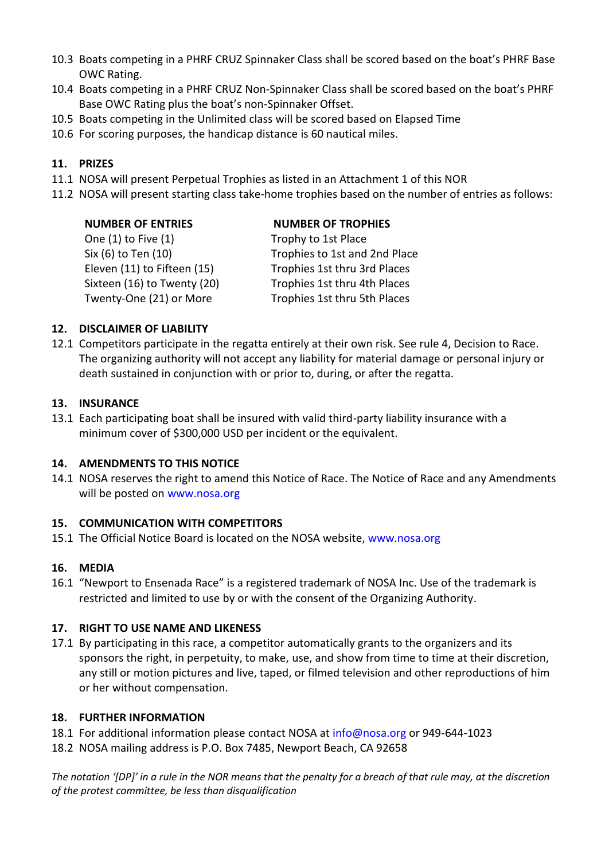- 10.3 Boats competing in a PHRF CRUZ Spinnaker Class shall be scored based on the boat's PHRF Base OWC Rating.
- 10.4 Boats competing in a PHRF CRUZ Non-Spinnaker Class shall be scored based on the boat's PHRF Base OWC Rating plus the boat's non-Spinnaker Offset.
- 10.5 Boats competing in the Unlimited class will be scored based on Elapsed Time
- 10.6 For scoring purposes, the handicap distance is 60 nautical miles.

## **11. PRIZES**

- 11.1 NOSA will present Perpetual Trophies as listed in an Attachment 1 of this NOR
- 11.2 NOSA will present starting class take-home trophies based on the number of entries as follows:

| <b>NUMBER OF TROPHIES</b>     |
|-------------------------------|
| Trophy to 1st Place           |
| Trophies to 1st and 2nd Place |
| Trophies 1st thru 3rd Places  |
| Trophies 1st thru 4th Places  |
| Trophies 1st thru 5th Places  |
|                               |

## **12. DISCLAIMER OF LIABILITY**

12.1 Competitors participate in the regatta entirely at their own risk. See rule 4, Decision to Race. The organizing authority will not accept any liability for material damage or personal injury or death sustained in conjunction with or prior to, during, or after the regatta.

### **13. INSURANCE**

13.1 Each participating boat shall be insured with valid third-party liability insurance with a minimum cover of \$300,000 USD per incident or the equivalent.

### **14. AMENDMENTS TO THIS NOTICE**

14.1 NOSA reserves the right to amend this Notice of Race. The Notice of Race and any Amendments will be posted on [www.nosa.org](http://www.nosa.org/)

### **15. COMMUNICATION WITH COMPETITORS**

15.1 The Official Notice Board is located on the NOSA website, [www.nosa.org](file:///C:/Users/BillG/Dropbox/NOSA/VC%20Race/NORs%20&%20SIs/www.newporttoensenada.com)

## **16. MEDIA**

16.1 "Newport to Ensenada Race" is a registered trademark of NOSA Inc. Use of the trademark is restricted and limited to use by or with the consent of the Organizing Authority.

### **17. RIGHT TO USE NAME AND LIKENESS**

17.1 By participating in this race, a competitor automatically grants to the organizers and its sponsors the right, in perpetuity, to make, use, and show from time to time at their discretion, any still or motion pictures and live, taped, or filmed television and other reproductions of him or her without compensation.

### **18. FURTHER INFORMATION**

- 18.1 For additional information please contact NOSA at [info@nosa.org](mailto:info@nosa.org) or 949-644-1023
- 18.2 NOSA mailing address is P.O. Box 7485, Newport Beach, CA 92658

*The notation '[DP]' in a rule in the NOR means that the penalty for a breach of that rule may, at the discretion of the protest committee, be less than disqualification*